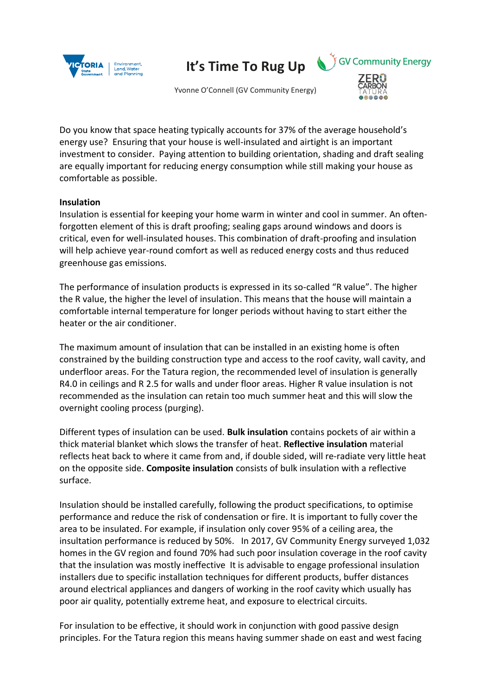

**It's Time To Rug Up**

Yvonne O'Connell (GV Community Energy)



**EGV Community Energy** 

Do you know that space heating typically accounts for 37% of the average household's energy use? Ensuring that your house is well-insulated and airtight is an important investment to consider. Paying attention to building orientation, shading and draft sealing are equally important for reducing energy consumption while still making your house as comfortable as possible.

## **Insulation**

Insulation is essential for keeping your home warm in winter and cool in summer. An oftenforgotten element of this is draft proofing; sealing gaps around windows and doors is critical, even for well-insulated houses. This combination of draft-proofing and insulation will help achieve year-round comfort as well as reduced energy costs and thus reduced greenhouse gas emissions.

The performance of insulation products is expressed in its so-called "R value". The higher the R value, the higher the level of insulation. This means that the house will maintain a comfortable internal temperature for longer periods without having to start either the heater or the air conditioner.

The maximum amount of insulation that can be installed in an existing home is often constrained by the building construction type and access to the roof cavity, wall cavity, and underfloor areas. For the Tatura region, the recommended level of insulation is generally R4.0 in ceilings and R 2.5 for walls and under floor areas. Higher R value insulation is not recommended as the insulation can retain too much summer heat and this will slow the overnight cooling process (purging).

Different types of insulation can be used. **Bulk insulation** contains pockets of air within a thick material blanket which slows the transfer of heat. **Reflective insulation** material reflects heat back to where it came from and, if double sided, will re-radiate very little heat on the opposite side. **Composite insulation** consists of bulk insulation with a reflective surface.

Insulation should be installed carefully, following the product specifications, to optimise performance and reduce the risk of condensation or fire. It is important to fully cover the area to be insulated. For example, if insulation only cover 95% of a ceiling area, the insultation performance is reduced by 50%. In 2017, GV Community Energy surveyed 1,032 homes in the GV region and found 70% had such poor insulation coverage in the roof cavity that the insulation was mostly ineffective It is advisable to engage professional insulation installers due to specific installation techniques for different products, buffer distances around electrical appliances and dangers of working in the roof cavity which usually has poor air quality, potentially extreme heat, and exposure to electrical circuits.

For insulation to be effective, it should work in conjunction with good passive design principles. For the Tatura region this means having summer shade on east and west facing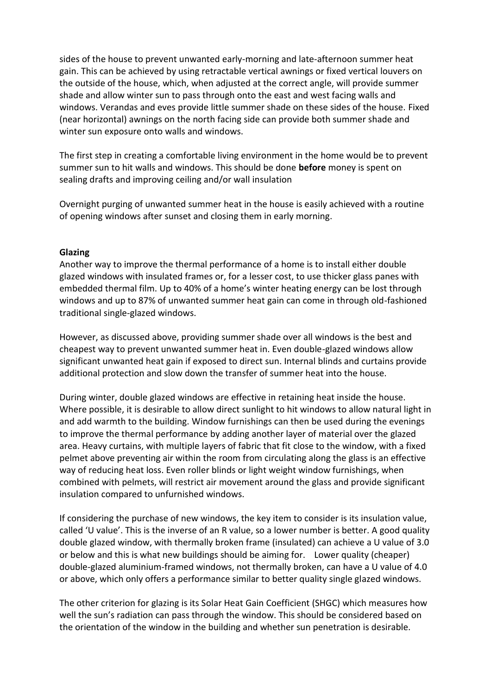sides of the house to prevent unwanted early-morning and late-afternoon summer heat gain. This can be achieved by using retractable vertical awnings or fixed vertical louvers on the outside of the house, which, when adjusted at the correct angle, will provide summer shade and allow winter sun to pass through onto the east and west facing walls and windows. Verandas and eves provide little summer shade on these sides of the house. Fixed (near horizontal) awnings on the north facing side can provide both summer shade and winter sun exposure onto walls and windows.

The first step in creating a comfortable living environment in the home would be to prevent summer sun to hit walls and windows. This should be done **before** money is spent on sealing drafts and improving ceiling and/or wall insulation

Overnight purging of unwanted summer heat in the house is easily achieved with a routine of opening windows after sunset and closing them in early morning.

### **Glazing**

Another way to improve the thermal performance of a home is to install either double glazed windows with insulated frames or, for a lesser cost, to use thicker glass panes with embedded thermal film. Up to 40% of a home's winter heating energy can be lost through windows and up to 87% of unwanted summer heat gain can come in through old-fashioned traditional single-glazed windows.

However, as discussed above, providing summer shade over all windows is the best and cheapest way to prevent unwanted summer heat in. Even double-glazed windows allow significant unwanted heat gain if exposed to direct sun. Internal blinds and curtains provide additional protection and slow down the transfer of summer heat into the house.

During winter, double glazed windows are effective in retaining heat inside the house. Where possible, it is desirable to allow direct sunlight to hit windows to allow natural light in and add warmth to the building. Window furnishings can then be used during the evenings to improve the thermal performance by adding another layer of material over the glazed area. Heavy curtains, with multiple layers of fabric that fit close to the window, with a fixed pelmet above preventing air within the room from circulating along the glass is an effective way of reducing heat loss. Even roller blinds or light weight window furnishings, when combined with pelmets, will restrict air movement around the glass and provide significant insulation compared to unfurnished windows.

If considering the purchase of new windows, the key item to consider is its insulation value, called 'U value'. This is the inverse of an R value, so a lower number is better. A good quality double glazed window, with thermally broken frame (insulated) can achieve a U value of 3.0 or below and this is what new buildings should be aiming for. Lower quality (cheaper) double-glazed aluminium-framed windows, not thermally broken, can have a U value of 4.0 or above, which only offers a performance similar to better quality single glazed windows.

The other criterion for glazing is its Solar Heat Gain Coefficient (SHGC) which measures how well the sun's radiation can pass through the window. This should be considered based on the orientation of the window in the building and whether sun penetration is desirable.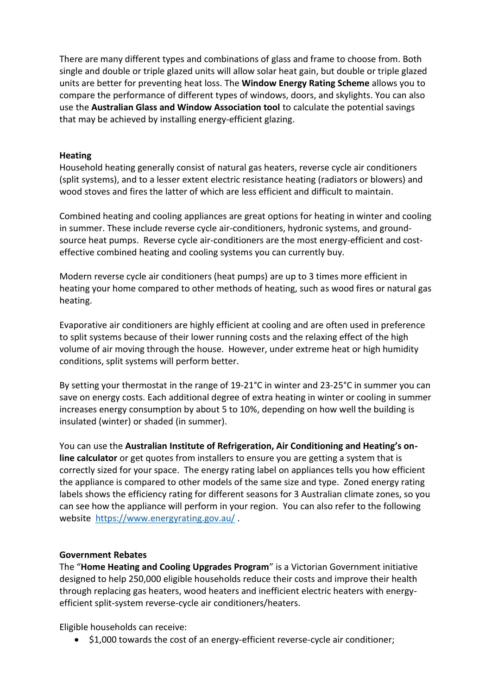There are many different types and combinations of glass and frame to choose from. Both single and double or triple glazed units will allow solar heat gain, but double or triple glazed units are better for preventing heat loss. The **Window Energy Rating Scheme** allows you to compare the performance of different types of windows, doors, and skylights. You can also use the **Australian Glass and Window Association tool** to calculate the potential savings that may be achieved by installing energy-efficient glazing.

## **Heating**

Household heating generally consist of natural gas heaters, reverse cycle air conditioners (split systems), and to a lesser extent electric resistance heating (radiators or blowers) and wood stoves and fires the latter of which are less efficient and difficult to maintain.

Combined heating and cooling appliances are great options for heating in winter and cooling in summer. These include reverse cycle air-conditioners, hydronic systems, and groundsource heat pumps. Reverse cycle air-conditioners are the most energy-efficient and costeffective combined heating and cooling systems you can currently buy.

Modern reverse cycle air conditioners (heat pumps) are up to 3 times more efficient in heating your home compared to other methods of heating, such as wood fires or natural gas heating.

Evaporative air conditioners are highly efficient at cooling and are often used in preference to split systems because of their lower running costs and the relaxing effect of the high volume of air moving through the house. However, under extreme heat or high humidity conditions, split systems will perform better.

By setting your thermostat in the range of 19-21°C in winter and 23-25°C in summer you can save on energy costs. Each additional degree of extra heating in winter or cooling in summer increases energy consumption by about 5 to 10%, depending on how well the building is insulated (winter) or shaded (in summer).

You can use the **Australian Institute of Refrigeration, Air Conditioning and Heating's online calculator** or get quotes from installers to ensure you are getting a system that is correctly sized for your space. The energy rating label on appliances tells you how efficient the appliance is compared to other models of the same size and type. Zoned energy rating labels shows the efficiency rating for different seasons for 3 Australian climate zones, so you can see how the appliance will perform in your region. You can also refer to the following website<https://www.energyrating.gov.au/>.

### **Government Rebates**

The "**Home Heating and Cooling Upgrades Program**" is a Victorian Government initiative designed to help 250,000 eligible households reduce their costs and improve their health through replacing gas heaters, wood heaters and inefficient electric heaters with energyefficient split-system reverse-cycle air conditioners/heaters.

Eligible households can receive:

\$1,000 towards the cost of an energy-efficient reverse-cycle air conditioner;